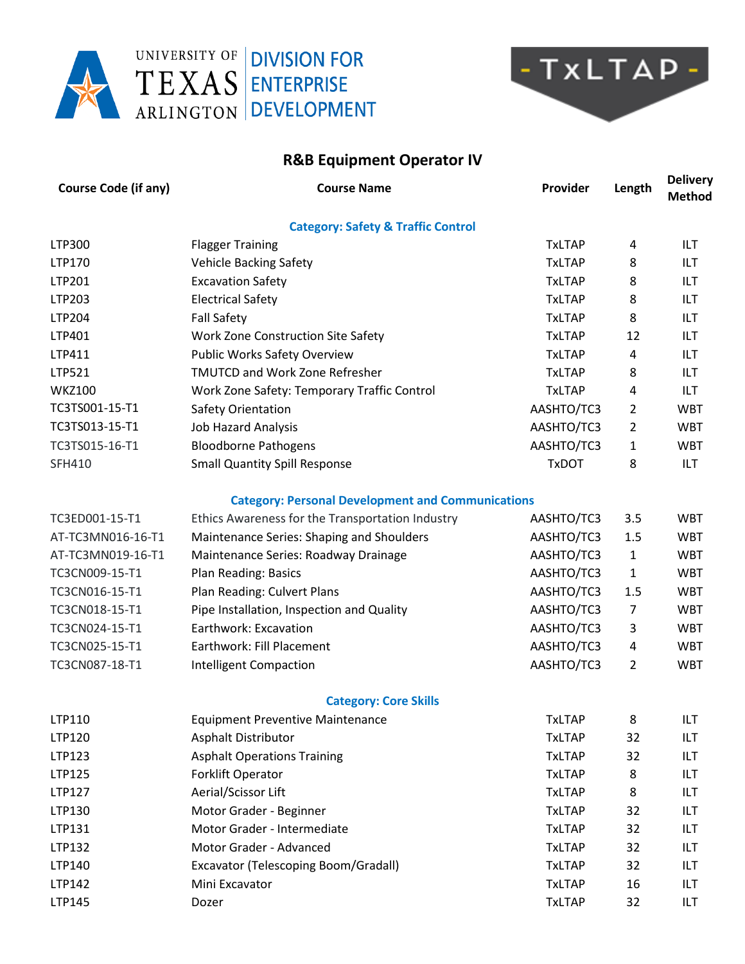



## **R&B Equipment Operator IV**

| <b>Course Code (if any)</b>                   | <b>Course Name</b>                                       | Provider      | Length         | <b>Delivery</b><br><b>Method</b> |  |  |  |
|-----------------------------------------------|----------------------------------------------------------|---------------|----------------|----------------------------------|--|--|--|
| <b>Category: Safety &amp; Traffic Control</b> |                                                          |               |                |                                  |  |  |  |
| LTP300                                        | <b>Flagger Training</b>                                  | <b>TxLTAP</b> | 4              | ILT.                             |  |  |  |
| LTP170                                        | <b>Vehicle Backing Safety</b>                            | <b>TxLTAP</b> | 8              | ILT                              |  |  |  |
| LTP201                                        | <b>Excavation Safety</b>                                 | <b>TxLTAP</b> | 8              | ILT                              |  |  |  |
| LTP203                                        | <b>Electrical Safety</b>                                 | <b>TxLTAP</b> | 8              | ILT                              |  |  |  |
| LTP204                                        | <b>Fall Safety</b>                                       | <b>TxLTAP</b> | 8              | ILT                              |  |  |  |
| LTP401                                        | Work Zone Construction Site Safety                       | <b>TxLTAP</b> | 12             | ILT                              |  |  |  |
| LTP411                                        | <b>Public Works Safety Overview</b>                      | <b>TxLTAP</b> | 4              | ILT                              |  |  |  |
| LTP521                                        | <b>TMUTCD and Work Zone Refresher</b>                    | <b>TxLTAP</b> | 8              | ILT                              |  |  |  |
| <b>WKZ100</b>                                 | Work Zone Safety: Temporary Traffic Control              | <b>TxLTAP</b> | 4              | <b>ILT</b>                       |  |  |  |
| TC3TS001-15-T1                                | Safety Orientation                                       | AASHTO/TC3    | $\overline{2}$ | <b>WBT</b>                       |  |  |  |
| TC3TS013-15-T1                                | <b>Job Hazard Analysis</b>                               | AASHTO/TC3    | $\overline{2}$ | <b>WBT</b>                       |  |  |  |
| TC3TS015-16-T1                                | <b>Bloodborne Pathogens</b>                              | AASHTO/TC3    | 1              | <b>WBT</b>                       |  |  |  |
| SFH410                                        | <b>Small Quantity Spill Response</b>                     | <b>TxDOT</b>  | 8              | <b>ILT</b>                       |  |  |  |
|                                               | <b>Category: Personal Development and Communications</b> |               |                |                                  |  |  |  |
| TC3ED001-15-T1                                | Ethics Awareness for the Transportation Industry         | AASHTO/TC3    | 3.5            | <b>WBT</b>                       |  |  |  |
| AT-TC3MN016-16-T1                             | Maintenance Series: Shaping and Shoulders                | AASHTO/TC3    | 1.5            | <b>WBT</b>                       |  |  |  |
| AT-TC3MN019-16-T1                             | Maintenance Series: Roadway Drainage                     | AASHTO/TC3    | $\mathbf{1}$   | <b>WBT</b>                       |  |  |  |
| TC3CN009-15-T1                                | Plan Reading: Basics                                     | AASHTO/TC3    | 1              | <b>WBT</b>                       |  |  |  |
| TC3CN016-15-T1                                | Plan Reading: Culvert Plans                              | AASHTO/TC3    | 1.5            | <b>WBT</b>                       |  |  |  |
| TC3CN018-15-T1                                | Pipe Installation, Inspection and Quality                | AASHTO/TC3    | $\overline{7}$ | <b>WBT</b>                       |  |  |  |
| TC3CN024-15-T1                                | Earthwork: Excavation                                    | AASHTO/TC3    | 3              | <b>WBT</b>                       |  |  |  |
| TC3CN025-15-T1                                | Earthwork: Fill Placement                                | AASHTO/TC3    | 4              | <b>WBT</b>                       |  |  |  |
| TC3CN087-18-T1                                | Intelligent Compaction                                   | AASHTO/TC3    | $\overline{2}$ | <b>WBT</b>                       |  |  |  |
| <b>Category: Core Skills</b>                  |                                                          |               |                |                                  |  |  |  |
| LTP110                                        | <b>Equipment Preventive Maintenance</b>                  | <b>TxLTAP</b> | 8              | ILT                              |  |  |  |
| LTP120                                        | Asphalt Distributor                                      | <b>TxLTAP</b> | 32             | ILT                              |  |  |  |
| LTP123                                        | <b>Asphalt Operations Training</b>                       | <b>TxLTAP</b> | 32             | ILT                              |  |  |  |
| LTP125                                        | Forklift Operator                                        | <b>TxLTAP</b> | 8              | ILT                              |  |  |  |
| LTP127                                        | Aerial/Scissor Lift                                      | <b>TxLTAP</b> | 8              | ILT                              |  |  |  |
| LTP130                                        | Motor Grader - Beginner                                  | <b>TxLTAP</b> | 32             | ILT                              |  |  |  |
| LTP131                                        | Motor Grader - Intermediate                              | <b>TxLTAP</b> | 32             | ILT                              |  |  |  |
| LTP132                                        | Motor Grader - Advanced                                  | <b>TxLTAP</b> | 32             | ILT                              |  |  |  |
| LTP140                                        | Excavator (Telescoping Boom/Gradall)                     | <b>TxLTAP</b> | 32             | ILT                              |  |  |  |
| LTP142                                        | Mini Excavator                                           | <b>TxLTAP</b> | 16             | ILT                              |  |  |  |
| LTP145                                        | Dozer                                                    | <b>TxLTAP</b> | 32             | ILT                              |  |  |  |